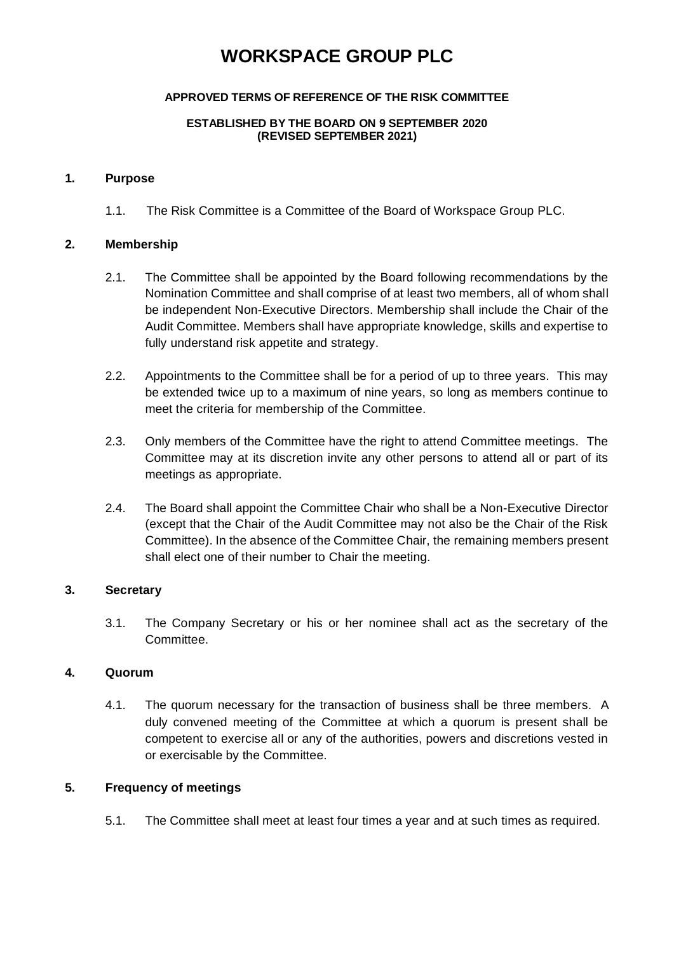# **WORKSPACE GROUP PLC**

## **APPROVED TERMS OF REFERENCE OF THE RISK COMMITTEE**

#### **ESTABLISHED BY THE BOARD ON 9 SEPTEMBER 2020 (REVISED SEPTEMBER 2021)**

### **1. Purpose**

1.1. The Risk Committee is a Committee of the Board of Workspace Group PLC.

## **2. Membership**

- 2.1. The Committee shall be appointed by the Board following recommendations by the Nomination Committee and shall comprise of at least two members, all of whom shall be independent Non-Executive Directors. Membership shall include the Chair of the Audit Committee. Members shall have appropriate knowledge, skills and expertise to fully understand risk appetite and strategy.
- 2.2. Appointments to the Committee shall be for a period of up to three years. This may be extended twice up to a maximum of nine years, so long as members continue to meet the criteria for membership of the Committee.
- 2.3. Only members of the Committee have the right to attend Committee meetings. The Committee may at its discretion invite any other persons to attend all or part of its meetings as appropriate.
- 2.4. The Board shall appoint the Committee Chair who shall be a Non-Executive Director (except that the Chair of the Audit Committee may not also be the Chair of the Risk Committee). In the absence of the Committee Chair, the remaining members present shall elect one of their number to Chair the meeting.

## **3. Secretary**

3.1. The Company Secretary or his or her nominee shall act as the secretary of the Committee.

## **4. Quorum**

4.1. The quorum necessary for the transaction of business shall be three members. A duly convened meeting of the Committee at which a quorum is present shall be competent to exercise all or any of the authorities, powers and discretions vested in or exercisable by the Committee.

## **5. Frequency of meetings**

5.1. The Committee shall meet at least four times a year and at such times as required.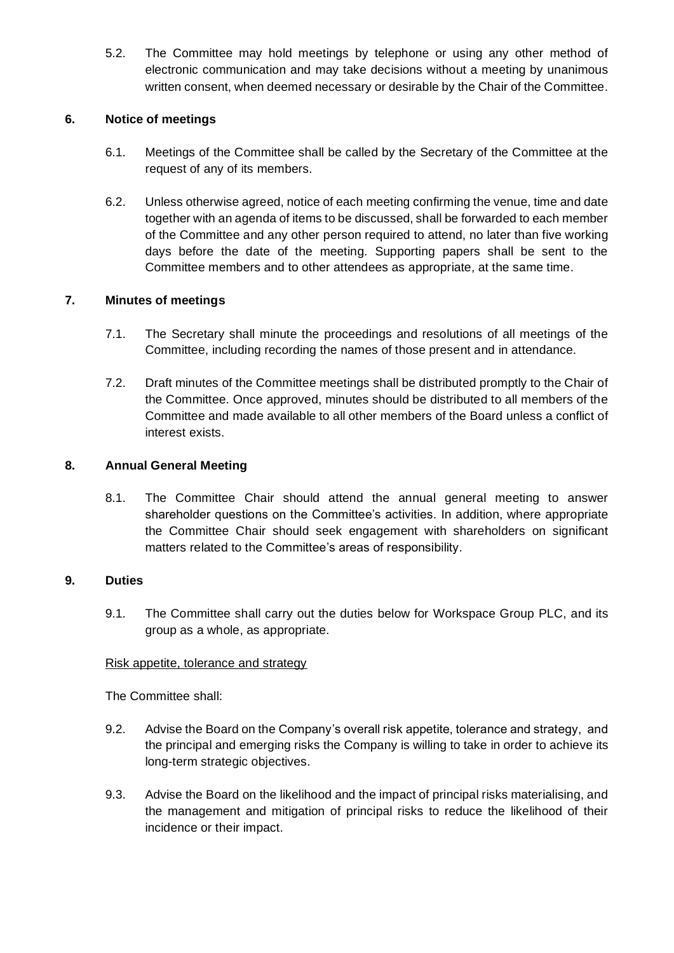5.2. The Committee may hold meetings by telephone or using any other method of electronic communication and may take decisions without a meeting by unanimous written consent, when deemed necessary or desirable by the Chair of the Committee.

## **6. Notice of meetings**

- 6.1. Meetings of the Committee shall be called by the Secretary of the Committee at the request of any of its members.
- 6.2. Unless otherwise agreed, notice of each meeting confirming the venue, time and date together with an agenda of items to be discussed, shall be forwarded to each member of the Committee and any other person required to attend, no later than five working days before the date of the meeting. Supporting papers shall be sent to the Committee members and to other attendees as appropriate, at the same time.

## **7. Minutes of meetings**

- 7.1. The Secretary shall minute the proceedings and resolutions of all meetings of the Committee, including recording the names of those present and in attendance.
- 7.2. Draft minutes of the Committee meetings shall be distributed promptly to the Chair of the Committee. Once approved, minutes should be distributed to all members of the Committee and made available to all other members of the Board unless a conflict of interest exists.

## **8. Annual General Meeting**

8.1. The Committee Chair should attend the annual general meeting to answer shareholder questions on the Committee's activities. In addition, where appropriate the Committee Chair should seek engagement with shareholders on significant matters related to the Committee's areas of responsibility.

## **9. Duties**

9.1. The Committee shall carry out the duties below for Workspace Group PLC, and its group as a whole, as appropriate.

## Risk appetite, tolerance and strategy

The Committee shall:

- 9.2. Advise the Board on the Company's overall risk appetite, tolerance and strategy, and the principal and emerging risks the Company is willing to take in order to achieve its long-term strategic objectives.
- 9.3. Advise the Board on the likelihood and the impact of principal risks materialising, and the management and mitigation of principal risks to reduce the likelihood of their incidence or their impact.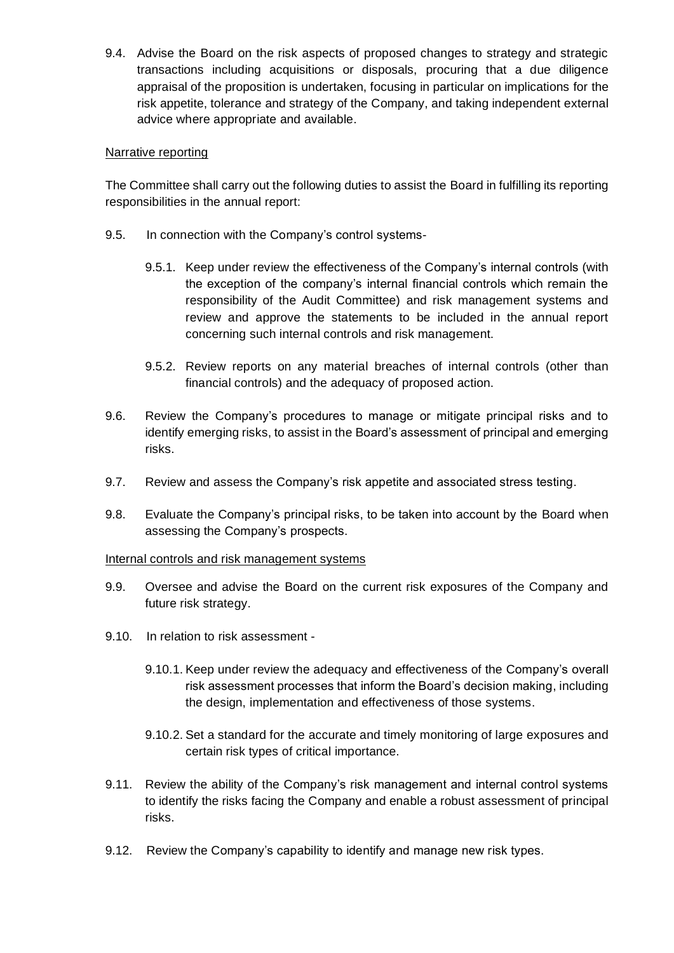9.4. Advise the Board on the risk aspects of proposed changes to strategy and strategic transactions including acquisitions or disposals, procuring that a due diligence appraisal of the proposition is undertaken, focusing in particular on implications for the risk appetite, tolerance and strategy of the Company, and taking independent external advice where appropriate and available.

### Narrative reporting

The Committee shall carry out the following duties to assist the Board in fulfilling its reporting responsibilities in the annual report:

- 9.5. In connection with the Company's control systems-
	- 9.5.1. Keep under review the effectiveness of the Company's internal controls (with the exception of the company's internal financial controls which remain the responsibility of the Audit Committee) and risk management systems and review and approve the statements to be included in the annual report concerning such internal controls and risk management.
	- 9.5.2. Review reports on any material breaches of internal controls (other than financial controls) and the adequacy of proposed action.
- 9.6. Review the Company's procedures to manage or mitigate principal risks and to identify emerging risks, to assist in the Board's assessment of principal and emerging risks.
- 9.7. Review and assess the Company's risk appetite and associated stress testing.
- 9.8. Evaluate the Company's principal risks, to be taken into account by the Board when assessing the Company's prospects.

## Internal controls and risk management systems

- 9.9. Oversee and advise the Board on the current risk exposures of the Company and future risk strategy.
- 9.10. In relation to risk assessment
	- 9.10.1. Keep under review the adequacy and effectiveness of the Company's overall risk assessment processes that inform the Board's decision making, including the design, implementation and effectiveness of those systems.
	- 9.10.2. Set a standard for the accurate and timely monitoring of large exposures and certain risk types of critical importance.
- 9.11. Review the ability of the Company's risk management and internal control systems to identify the risks facing the Company and enable a robust assessment of principal risks.
- 9.12. Review the Company's capability to identify and manage new risk types.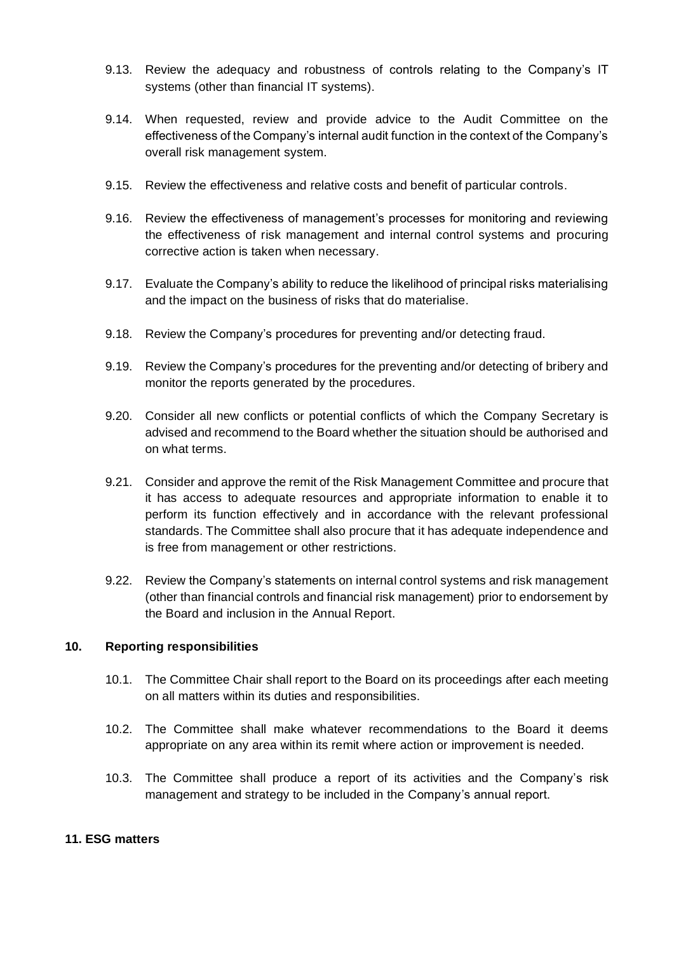- 9.13. Review the adequacy and robustness of controls relating to the Company's IT systems (other than financial IT systems).
- 9.14. When requested, review and provide advice to the Audit Committee on the effectiveness of the Company's internal audit function in the context of the Company's overall risk management system.
- 9.15. Review the effectiveness and relative costs and benefit of particular controls.
- 9.16. Review the effectiveness of management's processes for monitoring and reviewing the effectiveness of risk management and internal control systems and procuring corrective action is taken when necessary.
- 9.17. Evaluate the Company's ability to reduce the likelihood of principal risks materialising and the impact on the business of risks that do materialise.
- 9.18. Review the Company's procedures for preventing and/or detecting fraud.
- 9.19. Review the Company's procedures for the preventing and/or detecting of bribery and monitor the reports generated by the procedures.
- 9.20. Consider all new conflicts or potential conflicts of which the Company Secretary is advised and recommend to the Board whether the situation should be authorised and on what terms.
- 9.21. Consider and approve the remit of the Risk Management Committee and procure that it has access to adequate resources and appropriate information to enable it to perform its function effectively and in accordance with the relevant professional standards. The Committee shall also procure that it has adequate independence and is free from management or other restrictions.
- 9.22. Review the Company's statements on internal control systems and risk management (other than financial controls and financial risk management) prior to endorsement by the Board and inclusion in the Annual Report.

## **10. Reporting responsibilities**

- 10.1. The Committee Chair shall report to the Board on its proceedings after each meeting on all matters within its duties and responsibilities.
- 10.2. The Committee shall make whatever recommendations to the Board it deems appropriate on any area within its remit where action or improvement is needed.
- 10.3. The Committee shall produce a report of its activities and the Company's risk management and strategy to be included in the Company's annual report.

## **11. ESG matters**